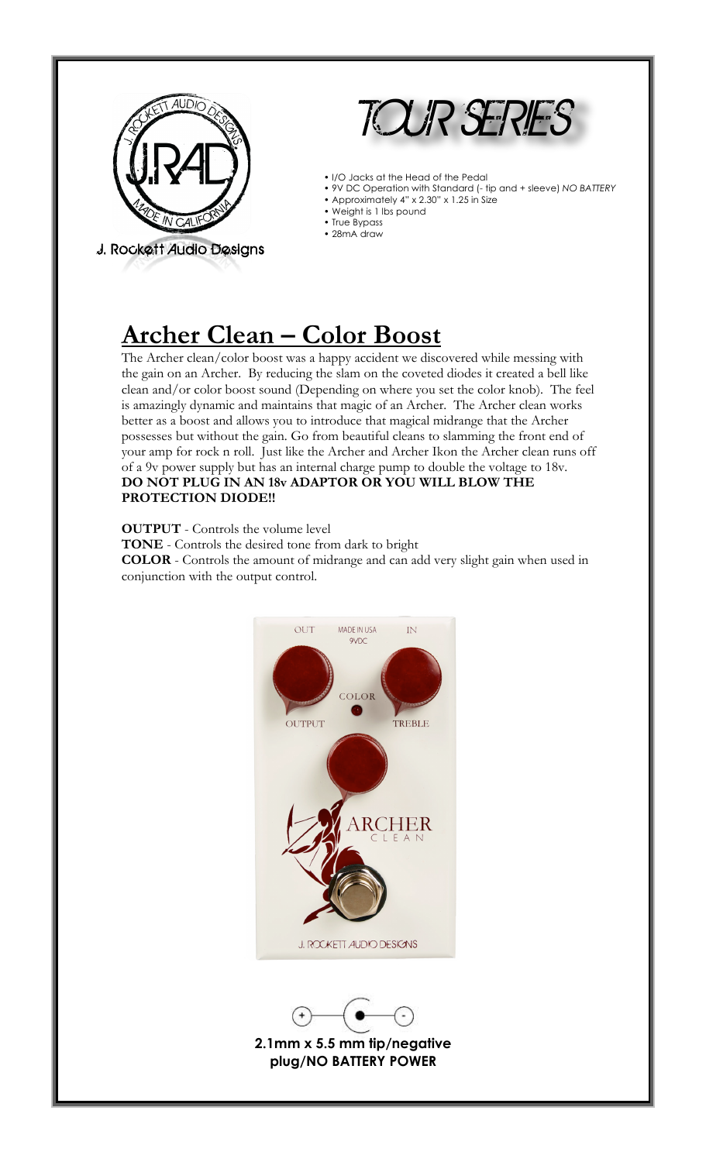

J. Rockett Audio Designs



- I/O Jacks at the Head of the Pedal
- 9V DC Operation with Standard (- tip and + sleeve) *NO BATTERY*
- Approximately 4" x 2.30" x 1.25 in Size
- Weight is 1 lbs pound • True Bypass
- 28mA draw

## **Archer Clean – Color Boost**

The Archer clean/color boost was a happy accident we discovered while messing with the gain on an Archer. By reducing the slam on the coveted diodes it created a bell like clean and/or color boost sound (Depending on where you set the color knob). The feel is amazingly dynamic and maintains that magic of an Archer. The Archer clean works better as a boost and allows you to introduce that magical midrange that the Archer possesses but without the gain. Go from beautiful cleans to slamming the front end of your amp for rock n roll. Just like the Archer and Archer Ikon the Archer clean runs off of a 9v power supply but has an internal charge pump to double the voltage to 18v. **DO NOT PLUG IN AN 18v ADAPTOR OR YOU WILL BLOW THE PROTECTION DIODE!!** 

**OUTPUT** - Controls the volume level

**TONE** - Controls the desired tone from dark to bright

**COLOR** - Controls the amount of midrange and can add very slight gain when used in conjunction with the output control.





**2.1mm x 5.5 mm tip/negative plug/NO BATTERY POWER**